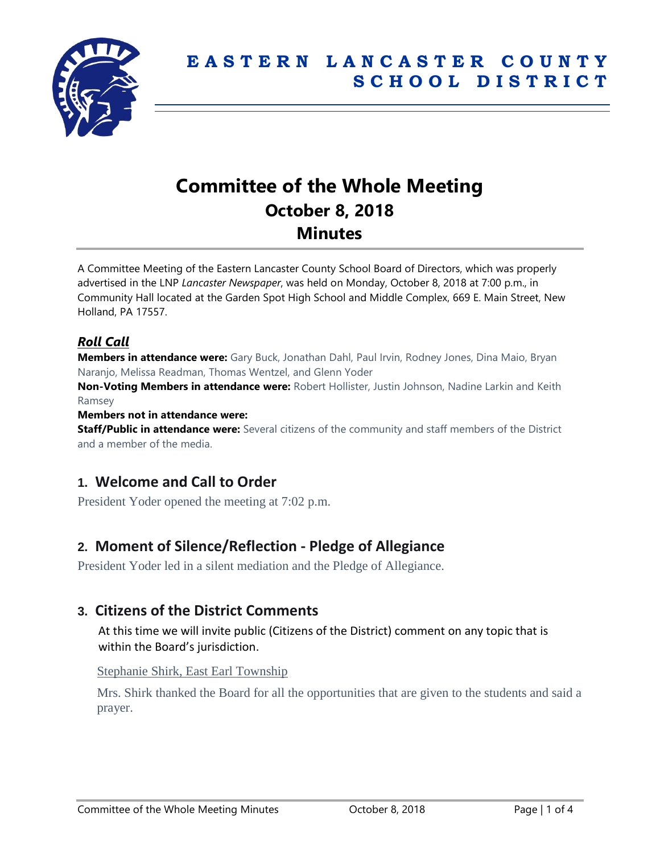

# **Committee of the Whole Meeting October 8, 2018 Minutes**

A Committee Meeting of the Eastern Lancaster County School Board of Directors, which was properly advertised in the LNP *Lancaster Newspaper*, was held on Monday, October 8, 2018 at 7:00 p.m., in Community Hall located at the Garden Spot High School and Middle Complex, 669 E. Main Street, New Holland, PA 17557.

## *Roll Call*

**Members in attendance were:** Gary Buck, Jonathan Dahl, Paul Irvin, Rodney Jones, Dina Maio, Bryan Naranjo, Melissa Readman, Thomas Wentzel, and Glenn Yoder

**Non-Voting Members in attendance were:** Robert Hollister, Justin Johnson, Nadine Larkin and Keith Ramsey

#### **Members not in attendance were:**

**Staff/Public in attendance were:** Several citizens of the community and staff members of the District and a member of the media.

# **1. Welcome and Call to Order**

President Yoder opened the meeting at 7:02 p.m.

# **2. Moment of Silence/Reflection - Pledge of Allegiance**

President Yoder led in a silent mediation and the Pledge of Allegiance.

# **3. Citizens of the District Comments**

At this time we will invite public (Citizens of the District) comment on any topic that is within the Board's jurisdiction.

#### Stephanie Shirk, East Earl Township

Mrs. Shirk thanked the Board for all the opportunities that are given to the students and said a prayer.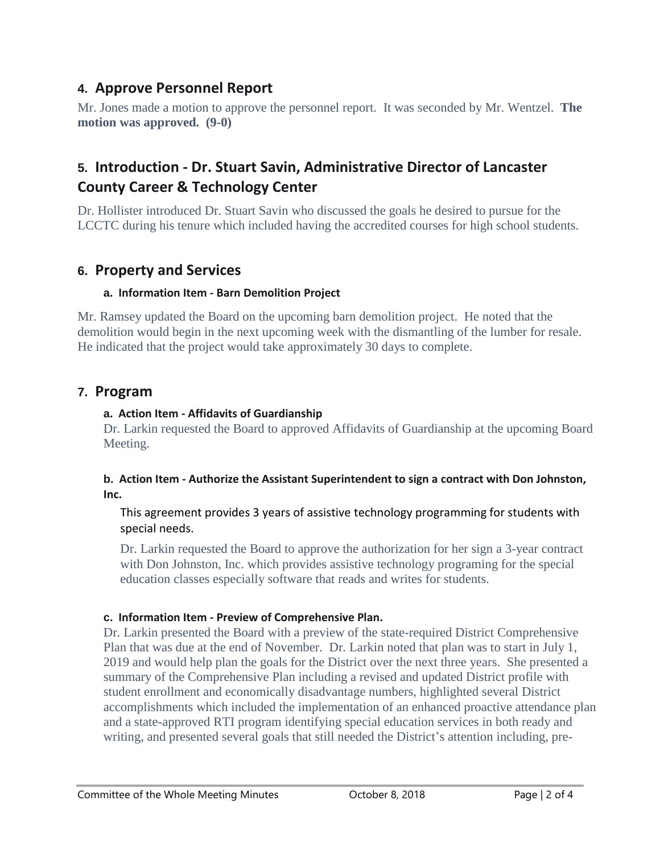# **4. Approve Personnel Report**

Mr. Jones made a motion to approve the personnel report. It was seconded by Mr. Wentzel. **The motion was approved. (9-0)**

# **5. Introduction - Dr. Stuart Savin, Administrative Director of Lancaster County Career & Technology Center**

Dr. Hollister introduced Dr. Stuart Savin who discussed the goals he desired to pursue for the LCCTC during his tenure which included having the accredited courses for high school students.

# **6. Property and Services**

## **a. Information Item - Barn Demolition Project**

Mr. Ramsey updated the Board on the upcoming barn demolition project. He noted that the demolition would begin in the next upcoming week with the dismantling of the lumber for resale. He indicated that the project would take approximately 30 days to complete.

## **7. Program**

## **a. Action Item - Affidavits of Guardianship**

Dr. Larkin requested the Board to approved Affidavits of Guardianship at the upcoming Board Meeting.

## **b. Action Item - Authorize the Assistant Superintendent to sign a contract with Don Johnston, Inc.**

This agreement provides 3 years of assistive technology programming for students with special needs.

Dr. Larkin requested the Board to approve the authorization for her sign a 3-year contract with Don Johnston, Inc. which provides assistive technology programing for the special education classes especially software that reads and writes for students.

## **c. Information Item - Preview of Comprehensive Plan.**

Dr. Larkin presented the Board with a preview of the state-required District Comprehensive Plan that was due at the end of November. Dr. Larkin noted that plan was to start in July 1, 2019 and would help plan the goals for the District over the next three years. She presented a summary of the Comprehensive Plan including a revised and updated District profile with student enrollment and economically disadvantage numbers, highlighted several District accomplishments which included the implementation of an enhanced proactive attendance plan and a state-approved RTI program identifying special education services in both ready and writing, and presented several goals that still needed the District's attention including, pre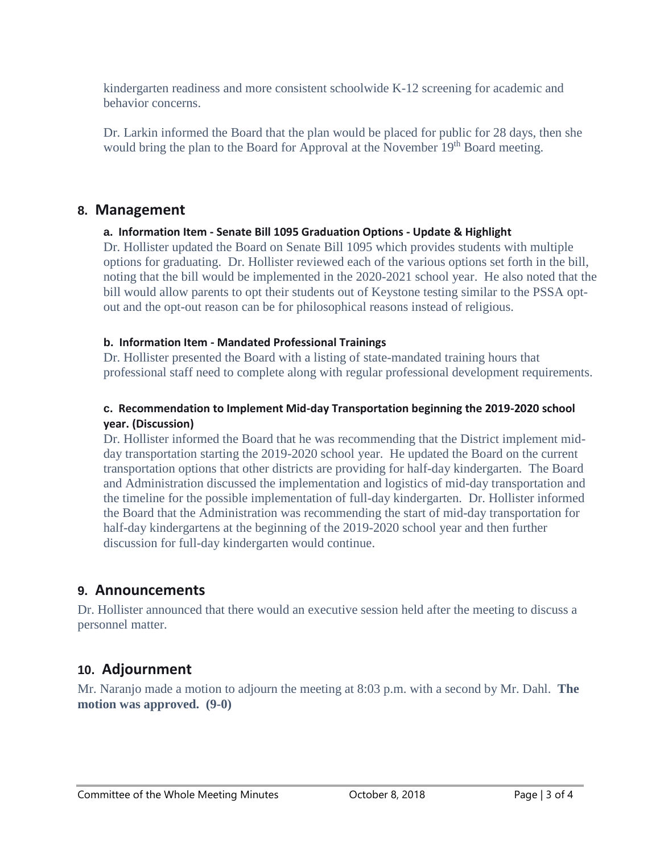kindergarten readiness and more consistent schoolwide K-12 screening for academic and behavior concerns.

Dr. Larkin informed the Board that the plan would be placed for public for 28 days, then she would bring the plan to the Board for Approval at the November 19<sup>th</sup> Board meeting.

## **8. Management**

## **a. Information Item - Senate Bill 1095 Graduation Options - Update & Highlight**

Dr. Hollister updated the Board on Senate Bill 1095 which provides students with multiple options for graduating. Dr. Hollister reviewed each of the various options set forth in the bill, noting that the bill would be implemented in the 2020-2021 school year. He also noted that the bill would allow parents to opt their students out of Keystone testing similar to the PSSA optout and the opt-out reason can be for philosophical reasons instead of religious.

## **b. Information Item - Mandated Professional Trainings**

Dr. Hollister presented the Board with a listing of state-mandated training hours that professional staff need to complete along with regular professional development requirements.

## **c. Recommendation to Implement Mid-day Transportation beginning the 2019-2020 school year. (Discussion)**

Dr. Hollister informed the Board that he was recommending that the District implement midday transportation starting the 2019-2020 school year. He updated the Board on the current transportation options that other districts are providing for half-day kindergarten. The Board and Administration discussed the implementation and logistics of mid-day transportation and the timeline for the possible implementation of full-day kindergarten. Dr. Hollister informed the Board that the Administration was recommending the start of mid-day transportation for half-day kindergartens at the beginning of the 2019-2020 school year and then further discussion for full-day kindergarten would continue.

# **9. Announcements**

Dr. Hollister announced that there would an executive session held after the meeting to discuss a personnel matter.

# **10. Adjournment**

Mr. Naranjo made a motion to adjourn the meeting at 8:03 p.m. with a second by Mr. Dahl. **The motion was approved. (9-0)**